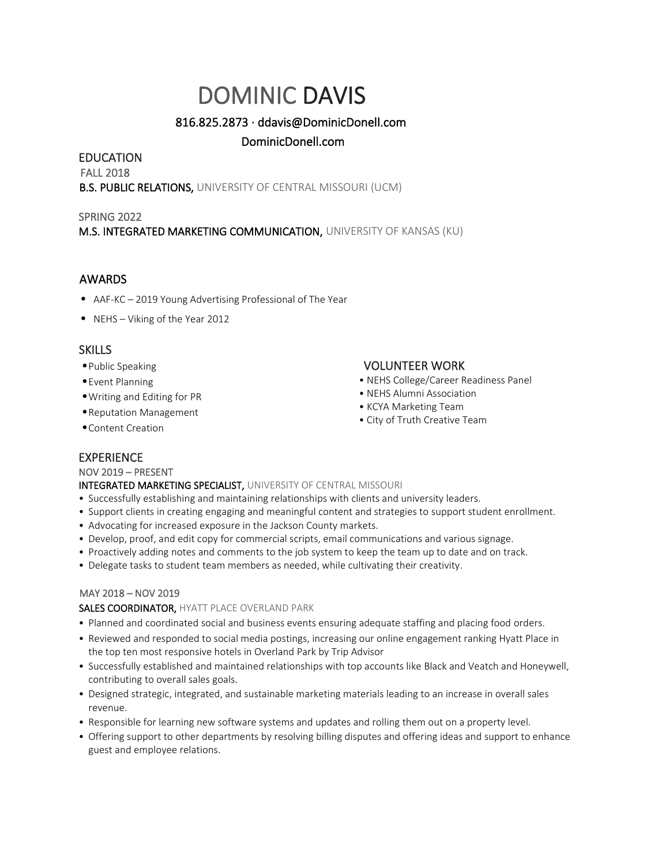# DOMINIC DAVIS

# 816.825.2873 · ddavis@DominicDonell.com

# DominicDonell.com

# EDUCATION

FALL 2018 **B.S. PUBLIC RELATIONS, UNIVERSITY OF CENTRAL MISSOURI (UCM)** 

## SPRING 2022

M.S. INTEGRATED MARKETING COMMUNICATION, UNIVERSITY OF KANSAS (KU)

## AWARDS

- AAF-KC 2019 Young Advertising Professional of The Year
- NEHS Viking of the Year 2012

## **SKILLS**

- •Public Speaking
- •Event Planning
- •Writing and Editing for PR
- •Reputation Management
- •Content Creation

# VOLUNTEER WORK

- NEHS College/Career Readiness Panel
- NEHS Alumni Association
- KCYA Marketing Team
- City of Truth Creative Team

# EXPERIENCE

## NOV 2019 – PRESENT

INTEGRATED MARKETING SPECIALIST, UNIVERSITY OF CENTRAL MISSOURI

- Successfully establishing and maintaining relationships with clients and university leaders.
- Support clients in creating engaging and meaningful content and strategies to support student enrollment.
- Advocating for increased exposure in the Jackson County markets.
- Develop, proof, and edit copy for commercial scripts, email communications and various signage.
- Proactively adding notes and comments to the job system to keep the team up to date and on track.
- Delegate tasks to student team members as needed, while cultivating their creativity.

## MAY 2018 – NOV 2019

## SALES COORDINATOR, HYATT PLACE OVERLAND PARK

- Planned and coordinated social and business events ensuring adequate staffing and placing food orders.
- Reviewed and responded to social media postings, increasing our online engagement ranking Hyatt Place in the top ten most responsive hotels in Overland Park by Trip Advisor
- Successfully established and maintained relationships with top accounts like Black and Veatch and Honeywell, contributing to overall sales goals.
- Designed strategic, integrated, and sustainable marketing materials leading to an increase in overall sales revenue.
- Responsible for learning new software systems and updates and rolling them out on a property level.
- Offering support to other departments by resolving billing disputes and offering ideas and support to enhance guest and employee relations.